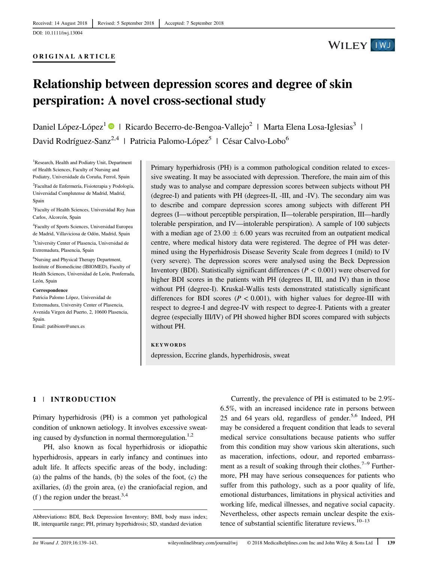#### ORIGINAL ARTICLE



# Relationship between depression scores and degree of skin perspiration: A novel cross-sectional study

Daniel López-López<sup>1</sup>  $\bullet$  | Ricardo Becerro-de-Bengoa-Vallejo<sup>2</sup> | Marta Elena Losa-Iglesias<sup>3</sup> | David Rodríguez-Sanz<sup>2,4</sup> | Patricia Palomo-López<sup>5</sup> | César Calvo-Lobo<sup>6</sup>

<sup>1</sup>Research, Health and Podiatry Unit, Department of Health Sciences, Faculty of Nursing and Podiatry, Universidade da Coruña, Ferrol, Spain 2 Facultad de Enfermería, Fisioterapia y Podología, Universidad Complutense de Madrid, Madrid, Spain

3 Faculty of Health Sciences, Universidad Rey Juan Carlos, Alcorcón, Spain

4 Faculty of Sports Sciences, Universidad Europea de Madrid, Villaviciosa de Odón, Madrid, Spain

5 University Center of Plasencia, Universidad de Extremadura, Plasencia, Spain

6 Nursing and Physical Therapy Department, Institute of Biomedicine (IBIOMED), Faculty of Health Sciences, Universidad de León, Ponferrada, León, Spain

#### Correspondence

Patricia Palomo López, Universidad de Extremadura, University Center of Plasencia, Avenida Virgen del Puerto, 2, 10600 Plasencia, Spain.

Email: patibiom@unex.es

Primary hyperhidrosis (PH) is a common pathological condition related to excessive sweating. It may be associated with depression. Therefore, the main aim of this study was to analyse and compare depression scores between subjects without PH (degree-I) and patients with PH (degrees-II, -III, and -IV). The secondary aim was to describe and compare depression scores among subjects with different PH degrees (I—without perceptible perspiration, II—tolerable perspiration, III—hardly tolerable perspiration, and IV—intolerable perspiration). A sample of 100 subjects with a median age of  $23.00 \pm 6.00$  years was recruited from an outpatient medical centre, where medical history data were registered. The degree of PH was determined using the Hyperhidrosis Disease Severity Scale from degrees I (mild) to IV (very severe). The depression scores were analysed using the Beck Depression Inventory (BDI). Statistically significant differences ( $P < 0.001$ ) were observed for higher BDI scores in the patients with PH (degrees II, III, and IV) than in those without PH (degree-I). Kruskal-Wallis tests demonstrated statistically significant differences for BDI scores ( $P < 0.001$ ), with higher values for degree-III with respect to degree-I and degree-IV with respect to degree-I. Patients with a greater degree (especially III/IV) of PH showed higher BDI scores compared with subjects without PH.

#### **KEYWORDS**

depression, Eccrine glands, hyperhidrosis, sweat

# 1 | INTRODUCTION

Primary hyperhidrosis (PH) is a common yet pathological condition of unknown aetiology. It involves excessive sweating caused by dysfunction in normal thermoregulation.<sup>1,2</sup>

PH, also known as focal hyperhidrosis or idiopathic hyperhidrosis, appears in early infancy and continues into adult life. It affects specific areas of the body, including: (a) the palms of the hands, (b) the soles of the foot, (c) the axillaries, (d) the groin area, (e) the craniofacial region, and (f) the region under the breast. $3,4$ 

Currently, the prevalence of PH is estimated to be 2.9%- 6.5%, with an increased incidence rate in persons between 25 and 64 years old, regardless of gender.<sup>5,6</sup> Indeed, PH may be considered a frequent condition that leads to several medical service consultations because patients who suffer from this condition may show various skin alterations, such as maceration, infections, odour, and reported embarrassment as a result of soaking through their clothes.<sup>7–9</sup> Furthermore, PH may have serious consequences for patients who suffer from this pathology, such as a poor quality of life, emotional disturbances, limitations in physical activities and working life, medical illnesses, and negative social capacity. Nevertheless, other aspects remain unclear despite the existence of substantial scientific literature reviews.<sup>10–13</sup>

Abbreviations: BDI, Beck Depression Inventory; BMI, body mass index; IR, interquartile range; PH, primary hyperhidrosis; SD, standard deviation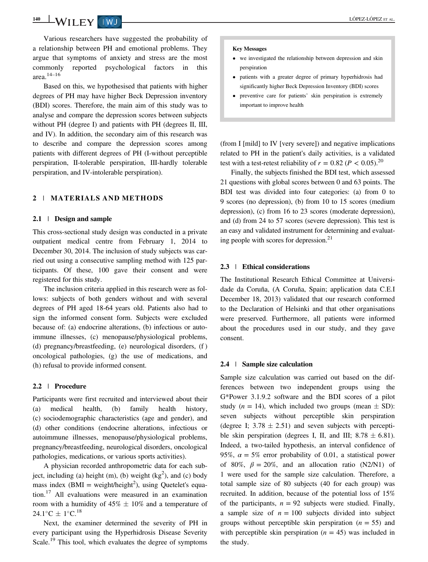# 140 **LÓPEZ-LÓPEZ ET AL.**

Various researchers have suggested the probability of a relationship between PH and emotional problems. They argue that symptoms of anxiety and stress are the most commonly reported psychological factors in this area.14–<sup>16</sup>

Based on this, we hypothesised that patients with higher degrees of PH may have higher Beck Depression inventory (BDI) scores. Therefore, the main aim of this study was to analyse and compare the depression scores between subjects without PH (degree I) and patients with PH (degrees II, III, and IV). In addition, the secondary aim of this research was to describe and compare the depression scores among patients with different degrees of PH (I-without perceptible perspiration, II-tolerable perspiration, III-hardly tolerable perspiration, and IV-intolerable perspiration).

# 2 | MATERIALS AND METHODS

### 2.1 | Design and sample

This cross-sectional study design was conducted in a private outpatient medical centre from February 1, 2014 to December 30, 2014. The inclusion of study subjects was carried out using a consecutive sampling method with 125 participants. Of these, 100 gave their consent and were registered for this study.

The inclusion criteria applied in this research were as follows: subjects of both genders without and with several degrees of PH aged 18-64 years old. Patients also had to sign the informed consent form. Subjects were excluded because of: (a) endocrine alterations, (b) infectious or autoimmune illnesses, (c) menopause/physiological problems, (d) pregnancy/breastfeeding, (e) neurological disorders, (f ) oncological pathologies, (g) the use of medications, and (h) refusal to provide informed consent.

## 2.2 | Procedure

Participants were first recruited and interviewed about their (a) medical health, (b) family health history, (c) sociodemographic characteristics (age and gender), and (d) other conditions (endocrine alterations, infectious or autoimmune illnesses, menopause/physiological problems, pregnancy/breastfeeding, neurological disorders, oncological pathologies, medications, or various sports activities).

A physician recorded anthropometric data for each subject, including (a) height (m), (b) weight  $(kg<sup>2</sup>)$ , and (c) body mass index (BMI = weight/height<sup>2</sup>), using Quetelet's equation.<sup>17</sup> All evaluations were measured in an examination room with a humidity of  $45\% \pm 10\%$  and a temperature of  $24.1^{\circ}$ C  $\pm 1^{\circ}$ C.<sup>18</sup>

Next, the examiner determined the severity of PH in every participant using the Hyperhidrosis Disease Severity Scale.<sup>19</sup> This tool, which evaluates the degree of symptoms

#### Key Messages

- we investigated the relationship between depression and skin perspiration
- patients with a greater degree of primary hyperhidrosis had significantly higher Beck Depression Inventory (BDI) scores
- preventive care for patients' skin perspiration is extremely important to improve health

(from I [mild] to IV [very severe]) and negative implications related to PH in the patient's daily activities, is a validated test with a test-retest reliability of  $r = 0.82$  ( $P < 0.05$ ).<sup>20</sup>

Finally, the subjects finished the BDI test, which assessed 21 questions with global scores between 0 and 63 points. The BDI test was divided into four categories: (a) from 0 to 9 scores (no depression), (b) from 10 to 15 scores (medium depression), (c) from 16 to 23 scores (moderate depression), and (d) from 24 to 57 scores (severe depression). This test is an easy and validated instrument for determining and evaluating people with scores for depression. $^{21}$ 

# 2.3 | Ethical considerations

The Institutional Research Ethical Committee at Universidade da Coruña, (A Coruña, Spain; application data C.E.I December 18, 2013) validated that our research conformed to the Declaration of Helsinki and that other organisations were preserved. Furthermore, all patients were informed about the procedures used in our study, and they gave consent.

### 2.4 | Sample size calculation

Sample size calculation was carried out based on the differences between two independent groups using the G\*Power 3.1.9.2 software and the BDI scores of a pilot study ( $n = 14$ ), which included two groups (mean  $\pm$  SD): seven subjects without perceptible skin perspiration (degree I;  $3.78 \pm 2.51$ ) and seven subjects with perceptible skin perspiration (degrees I, II, and III;  $8.78 \pm 6.81$ ). Indeed, a two-tailed hypothesis, an interval confidence of 95%,  $\alpha = 5\%$  error probability of 0.01, a statistical power of 80%,  $\beta = 20\%$ , and an allocation ratio (N2/N1) of 1 were used for the sample size calculation. Therefore, a total sample size of 80 subjects (40 for each group) was recruited. In addition, because of the potential loss of 15% of the participants,  $n = 92$  subjects were studied. Finally, a sample size of  $n = 100$  subjects divided into subject groups without perceptible skin perspiration  $(n = 55)$  and with perceptible skin perspiration  $(n = 45)$  was included in the study.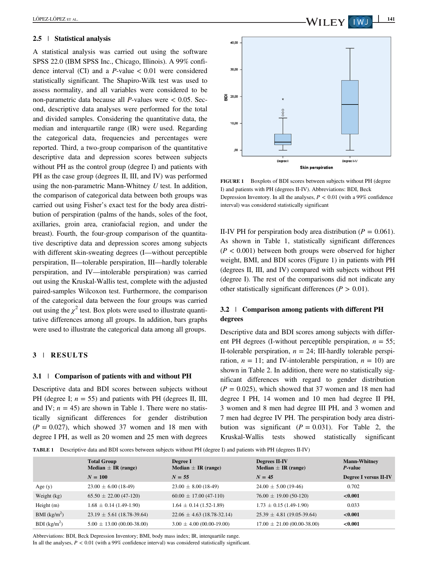## 2.5 | Statistical analysis

A statistical analysis was carried out using the software SPSS 22.0 (IBM SPSS Inc., Chicago, Illinois). A 99% confidence interval (CI) and a  $P$ -value  $\lt$  0.01 were considered statistically significant. The Shapiro-Wilk test was used to assess normality, and all variables were considered to be non-parametric data because all  $P$ -values were  $< 0.05$ . Second, descriptive data analyses were performed for the total and divided samples. Considering the quantitative data, the median and interquartile range (IR) were used. Regarding the categorical data, frequencies and percentages were reported. Third, a two-group comparison of the quantitative descriptive data and depression scores between subjects without PH as the control group (degree I) and patients with PH as the case group (degrees II, III, and IV) was performed using the non-parametric Mann-Whitney  $U$  test. In addition, the comparison of categorical data between both groups was carried out using Fisher's exact test for the body area distribution of perspiration (palms of the hands, soles of the foot, axillaries, groin area, craniofacial region, and under the breast). Fourth, the four-group comparison of the quantitative descriptive data and depression scores among subjects with different skin-sweating degrees (I—without perceptible perspiration, II—tolerable perspiration, III—hardly tolerable perspiration, and IV—intolerable perspiration) was carried out using the Kruskal-Wallis test, complete with the adjusted paired-samples Wilcoxon test. Furthermore, the comparison of the categorical data between the four groups was carried out using the  $\chi^2$  test. Box plots were used to illustrate quantitative differences among all groups. In addition, bars graphs were used to illustrate the categorical data among all groups.

# 3 | RESULTS

#### 3.1 | Comparison of patients with and without PH

Descriptive data and BDI scores between subjects without PH (degree I;  $n = 55$ ) and patients with PH (degrees II, III, and IV;  $n = 45$ ) are shown in Table 1. There were no statistically significant differences for gender distribution  $(P = 0.027)$ , which showed 37 women and 18 men with degree I PH, as well as 20 women and 25 men with degrees





FIGURE 1 Boxplots of BDI scores between subjects without PH (degree I) and patients with PH (degrees II-IV). Abbreviations: BDI, Beck Depression Inventory. In all the analyses,  $P < 0.01$  (with a 99% confidence interval) was considered statistically significant

II-IV PH for perspiration body area distribution ( $P = 0.061$ ). As shown in Table 1, statistically significant differences  $(P < 0.001)$  between both groups were observed for higher weight, BMI, and BDI scores (Figure 1) in patients with PH (degrees II, III, and IV) compared with subjects without PH (degree I). The rest of the comparisons did not indicate any other statistically significant differences ( $P > 0.01$ ).

# 3.2 | Comparison among patients with different PH degrees

Descriptive data and BDI scores among subjects with different PH degrees (I-without perceptible perspiration,  $n = 55$ ; II-tolerable perspiration,  $n = 24$ ; III-hardly tolerable perspiration,  $n = 11$ ; and IV-intolerable perspiration,  $n = 10$ ) are shown in Table 2. In addition, there were no statistically significant differences with regard to gender distribution  $(P = 0.025)$ , which showed that 37 women and 18 men had degree I PH, 14 women and 10 men had degree II PH, 3 women and 8 men had degree III PH, and 3 women and 7 men had degree IV PH. The perspiration body area distribution was significant  $(P = 0.031)$ . For Table 2, the Kruskal-Wallis tests showed statistically significant

TABLE 1 Descriptive data and BDI scores between subjects without PH (degree I) and patients with PH (degrees II-IV)

|                | <b>Total Group</b><br>Degree I<br>Median $\pm$ IR (range)<br>Median $\pm$ IR (range) |                                 | <b>Degrees II-IV</b><br>Median $\pm$ IR (range) | <b>Mann-Whitney</b><br>P-value |
|----------------|--------------------------------------------------------------------------------------|---------------------------------|-------------------------------------------------|--------------------------------|
|                | $N = 100$                                                                            | $N = 55$                        | $N = 45$                                        | Degree I versus II-IV          |
| Age $(y)$      | $23.00 \pm 6.00$ (18-49)                                                             | $23.00 \pm 8.00$ (18-49)        | $24.00 \pm 5.00$ (19-46)                        | 0.702                          |
| Weight (kg)    | $65.50 \pm 22.00(47-120)$                                                            | $60.00 \pm 17.00$ (47-110)      | $76.00 \pm 19.00(50-120)$                       | < 0.001                        |
| Height $(m)$   | $1.68 \pm 0.14$ (1.49-1.90)                                                          | $1.64 \pm 0.14$ (1.52-1.89)     | $1.73 \pm 0.15$ (1.49-1.90)                     | 0.033                          |
| BMI $(kg/m2)$  | $23.19 \pm 5.61$ (18.78-39.64)                                                       | $22.06 \pm 4.63$ (18.78-32.14)  | $25.39 \pm 4.81$ (19.05-39.64)                  | < 0.001                        |
| BDI $(kg/m^2)$ | $5.00 \pm 13.00 \ (00.00 - 38.00)$                                                   | $3.00 \pm 4.00 \ (00.00-19.00)$ | $17.00 \pm 21.00(00.00-38.00)$                  | ${<}0.001$                     |

Abbreviations: BDI, Beck Depression Inventory; BMI, body mass index; IR, interquartile range.

In all the analyses,  $P < 0.01$  (with a 99% confidence interval) was considered statistically significant.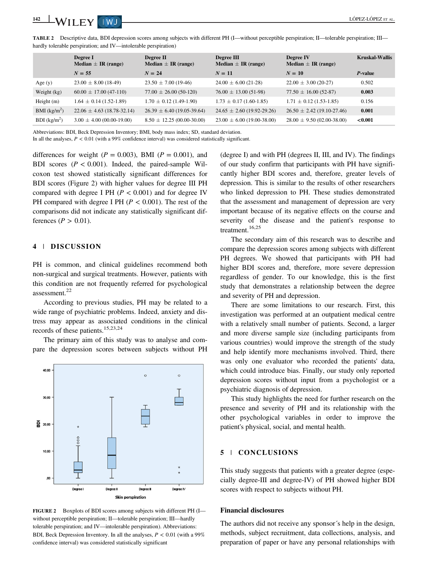TABLE 2 Descriptive data, BDI depression scores among subjects with different PH (I—without perceptible perspiration; II—tolerable perspiration; III hardly tolerable perspiration; and IV—intolerable perspiration)

|                | Degree I<br>Median $\pm$ IR (range) | Degree II<br>Median $\pm$ IR (range) | Degree III<br>Median $\pm$ IR (range) | Degree IV<br>Median $\pm$ IR (range) | <b>Kruskal-Wallis</b> |
|----------------|-------------------------------------|--------------------------------------|---------------------------------------|--------------------------------------|-----------------------|
|                | $N = 55$                            | $N = 24$                             | $N=11$                                | $N=10$                               | P-value               |
| Age $(y)$      | $23.00 \pm 8.00$ (18-49)            | $23.50 \pm 7.00$ (19-46)             | $24.00 \pm 6.00$ (21-28)              | $22.00 \pm 3.00$ (20-27)             | 0.502                 |
| Weight (kg)    | $60.00 \pm 17.00$ (47-110)          | $77.00 \pm 26.00(50-120)$            | $76.00 \pm 13.00$ (51-98)             | $77.50 \pm 16.00(52-87)$             | 0.003                 |
| Height $(m)$   | $1.64 \pm 0.14$ (1.52-1.89)         | $1.70 \pm 0.12$ (1.49-1.90)          | $1.73 \pm 0.17$ (1.60-1.85)           | $1.71 \pm 0.12$ (1.53-1.85)          | 0.156                 |
| BMI $(kg/m2)$  | $22.06 \pm 4.63$ (18.78-32.14)      | $26.39 \pm 6.40$ (19.05-39.64)       | $24.65 \pm 2.60$ (19.92-29.26)        | $26.50 \pm 2.42$ (19.10-27.46)       | 0.001                 |
| BDI $(kg/m^2)$ | $3.00 \pm 4.00 (00.00 - 19.00)$     | $8.50 \pm 12.25(00.00-30.00)$        | $23.00 \pm 6.00$ (19.00-38.00)        | $28.00 \pm 9.50$ (02.00-38.00)       | ${<}0.001$            |

Abbreviations: BDI, Beck Depression Inventory; BMI, body mass index; SD, standard deviation.

In all the analyses,  $P < 0.01$  (with a 99% confidence interval) was considered statistically significant.

differences for weight ( $P = 0.003$ ), BMI ( $P = 0.001$ ), and BDI scores  $(P < 0.001)$ . Indeed, the paired-sample Wilcoxon test showed statistically significant differences for BDI scores (Figure 2) with higher values for degree III PH compared with degree I PH ( $P < 0.001$ ) and for degree IV PH compared with degree I PH ( $P < 0.001$ ). The rest of the comparisons did not indicate any statistically significant differences ( $P > 0.01$ ).

# 4 | DISCUSSION

PH is common, and clinical guidelines recommend both non-surgical and surgical treatments. However, patients with this condition are not frequently referred for psychological assessment.<sup>22</sup>

According to previous studies, PH may be related to a wide range of psychiatric problems. Indeed, anxiety and distress may appear as associated conditions in the clinical records of these patients.<sup>15,23,24</sup>

The primary aim of this study was to analyse and compare the depression scores between subjects without PH



FIGURE 2 Boxplots of BDI scores among subjects with different PH (I without perceptible perspiration; II—tolerable perspiration; III—hardly tolerable perspiration; and IV—intolerable perspiration). Abbreviations: BDI, Beck Depression Inventory. In all the analyses,  $P < 0.01$  (with a 99% confidence interval) was considered statistically significant

(degree I) and with PH (degrees II, III, and IV). The findings of our study confirm that participants with PH have significantly higher BDI scores and, therefore, greater levels of depression. This is similar to the results of other researchers who linked depression to PH. These studies demonstrated that the assessment and management of depression are very important because of its negative effects on the course and severity of the disease and the patient's response to treatment.<sup>16,25</sup>

The secondary aim of this research was to describe and compare the depression scores among subjects with different PH degrees. We showed that participants with PH had higher BDI scores and, therefore, more severe depression regardless of gender. To our knowledge, this is the first study that demonstrates a relationship between the degree and severity of PH and depression.

There are some limitations to our research. First, this investigation was performed at an outpatient medical centre with a relatively small number of patients. Second, a larger and more diverse sample size (including participants from various countries) would improve the strength of the study and help identify more mechanisms involved. Third, there was only one evaluator who recorded the patients' data, which could introduce bias. Finally, our study only reported depression scores without input from a psychologist or a psychiatric diagnosis of depression.

This study highlights the need for further research on the presence and severity of PH and its relationship with the other psychological variables in order to improve the patient's physical, social, and mental health.

# 5 | CONCLUSIONS

This study suggests that patients with a greater degree (especially degree-III and degree-IV) of PH showed higher BDI scores with respect to subjects without PH.

# Financial disclosures

The authors did not receive any sponsor´s help in the design, methods, subject recruitment, data collections, analysis, and preparation of paper or have any personal relationships with